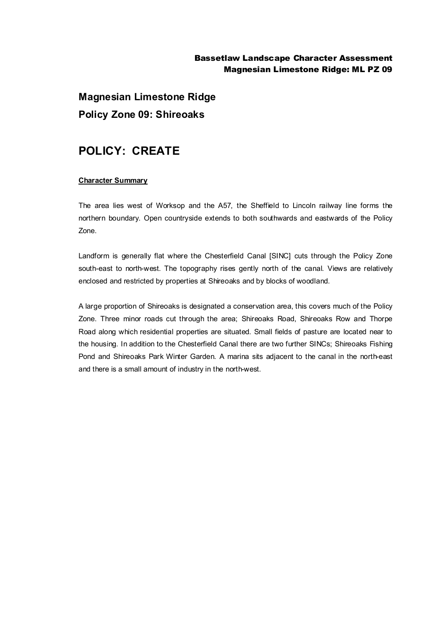## Bassetlaw Landscape Character Assessment Magnesian Limestone Ridge: ML PZ 09

**Magnesian Limestone Ridge Policy Zone 09: Shireoaks**

## **POLICY: CREATE**

## **Character Summary**

The area lies west of Worksop and the A57, the Sheffield to Lincoln railway line forms the northern boundary. Open countryside extends to both southwards and eastwards of the Policy Zone.

Landform is generally flat where the Chesterfield Canal [SINC] cuts through the Policy Zone south-east to north-west. The topography rises gently north of the canal. Views are relatively enclosed and restricted by properties at Shireoaks and by blocks of woodland.

A large proportion of Shireoaks is designated a conservation area, this covers much of the Policy Zone. Three minor roads cut through the area; Shireoaks Road, Shireoaks Row and Thorpe Road along which residential properties are situated. Small fields of pasture are located near to the housing. In addition to the Chesterfield Canal there are two further SINCs; Shireoaks Fishing Pond and Shireoaks Park Winter Garden. A marina sits adjacent to the canal in the north-east and there is a small amount of industry in the north-west.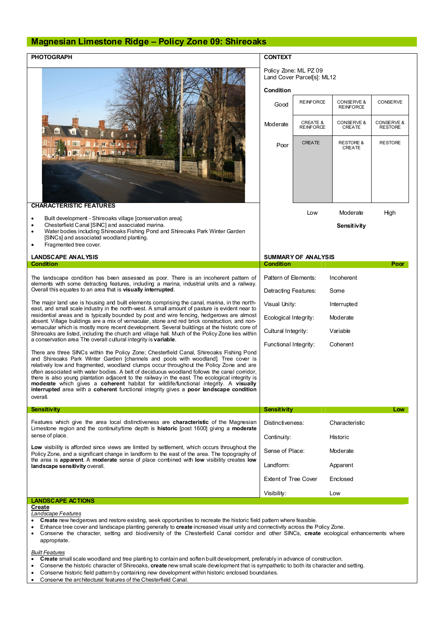## **Magnesian Limestone Ridge – Policy Zone 09: Shireoaks**

| <b>PHOTOGRAPH</b>                                                                                                                                                                                                                                                                                                                                                                                                                                                                                                                                                                                                                                                           | <b>CONTEXT</b>                                                   |                                         |                                           |                              |
|-----------------------------------------------------------------------------------------------------------------------------------------------------------------------------------------------------------------------------------------------------------------------------------------------------------------------------------------------------------------------------------------------------------------------------------------------------------------------------------------------------------------------------------------------------------------------------------------------------------------------------------------------------------------------------|------------------------------------------------------------------|-----------------------------------------|-------------------------------------------|------------------------------|
| <b>Hind</b><br><b>RKE</b>                                                                                                                                                                                                                                                                                                                                                                                                                                                                                                                                                                                                                                                   | Policy Zone: ML PZ 09<br>Land Cover Parcel[s]: ML12<br>Condition |                                         |                                           |                              |
|                                                                                                                                                                                                                                                                                                                                                                                                                                                                                                                                                                                                                                                                             | Good                                                             | <b>REINFORCE</b>                        | <b>CONSERVE &amp;</b><br><b>REINFORCE</b> | <b>CONSERVE</b>              |
|                                                                                                                                                                                                                                                                                                                                                                                                                                                                                                                                                                                                                                                                             | Moderate                                                         | <b>CREATE &amp;</b><br><b>REINFORCE</b> | CONSERVE &<br>CREATE                      | CONSERVE &<br><b>RESTORE</b> |
|                                                                                                                                                                                                                                                                                                                                                                                                                                                                                                                                                                                                                                                                             | Poor                                                             | <b>CREATE</b>                           | <b>RESTORE &amp;</b><br>CREATE            | <b>RESTORE</b>               |
| <b>CHARACTERISTIC FEATURES</b>                                                                                                                                                                                                                                                                                                                                                                                                                                                                                                                                                                                                                                              |                                                                  |                                         |                                           |                              |
| Built development - Shireoaks village [conservation area].<br>Chesterfield Canal [SINC] and associated marina.<br>Water bodies including Shireoaks Fishing Pond and Shireoaks Park Winter Garden<br>$\bullet$<br>[SINCs] and associated woodland planting.<br>Fragmented tree cover.                                                                                                                                                                                                                                                                                                                                                                                        |                                                                  | Low                                     | Moderate<br>Sensitivity                   | High                         |
| <b>LANDSCAPE ANALYSIS</b>                                                                                                                                                                                                                                                                                                                                                                                                                                                                                                                                                                                                                                                   | <b>SUMMARY OF ANALYSIS</b>                                       |                                         |                                           |                              |
| <b>Condition</b>                                                                                                                                                                                                                                                                                                                                                                                                                                                                                                                                                                                                                                                            | <b>Condition</b>                                                 |                                         |                                           | Poor                         |
| The landscape condition has been assessed as poor. There is an incoherent pattern of<br>elements with some detracting features, including a marina, industrial units and a railway.<br>Overall this equates to an area that is visually interrupted.                                                                                                                                                                                                                                                                                                                                                                                                                        | Pattern of Elements:<br>Detracting Features:                     |                                         | Incoherent<br>Some                        |                              |
| The major land use is housing and built elements comprising the canal, marina, in the north-<br>east, and small scale industry in the north-west. A small amount of pasture is evident near to<br>residential areas and is typically bounded by post and wire fencing, hedgerows are almost<br>absent. Village buildings are a mix of vernacular, stone and red brick construction, and non-<br>vernacular which is mostly more recent development. Several buildings at the historic core of<br>Shireoaks are listed, including the church and village hall. Much of the Policy Zone lies within<br>a conservation area The overall cultural integrity is variable.        | Visual Unity:                                                    |                                         | Interrupted                               |                              |
|                                                                                                                                                                                                                                                                                                                                                                                                                                                                                                                                                                                                                                                                             |                                                                  | Ecological Integrity:<br>Moderate       |                                           |                              |
|                                                                                                                                                                                                                                                                                                                                                                                                                                                                                                                                                                                                                                                                             | Cultural Integrity:<br>Functional Integrity:                     |                                         | Variable<br>Coherent                      |                              |
| There are three SINCs within the Policy Zone; Chesterfield Canal, Shireoaks Fishing Pond<br>and Shireoaks Park Winter Garden [channels and pools with woodland]. Tree cover is<br>relatively low and fragmented, woodland clumps occur throughout the Policy Zone and are<br>often associated with water bodies. A belt of deciduous woodland follows the canal corridor,<br>there is also young plantation adjacent to the railway in the east. The ecological integrity is<br>moderate which gives a coherent habitat for wildlife/functional integrity. A visually<br>interrupted area with a coherent functional integrity gives a poor landscape condition<br>overall. |                                                                  |                                         |                                           |                              |
| <b>Sensitivity</b>                                                                                                                                                                                                                                                                                                                                                                                                                                                                                                                                                                                                                                                          | <b>Sensitivity</b>                                               |                                         |                                           | Low                          |
| Features which give the area local distinctiveness are <b>characteristic</b> of the Magnesian<br>Limestone region and the continuity/time depth is <b>historic</b> [post 1600] giving a <b>moderate</b><br>sense of place.<br>Low visibility is afforded since views are limited by settlement, which occurs throughout the<br>Policy Zone, and a significant change in landform to the east of the area. The topography of<br>the area is apparent. A moderate sense of place combined with low visibility creates low<br>landscape sensitivity overall.                                                                                                                   | Distinctiveness:                                                 |                                         | Characteristic                            |                              |
|                                                                                                                                                                                                                                                                                                                                                                                                                                                                                                                                                                                                                                                                             | Continuity:                                                      |                                         | Historic                                  |                              |
|                                                                                                                                                                                                                                                                                                                                                                                                                                                                                                                                                                                                                                                                             | Sense of Place:                                                  |                                         | Moderate                                  |                              |
|                                                                                                                                                                                                                                                                                                                                                                                                                                                                                                                                                                                                                                                                             | Landform:<br><b>Extent of Tree Cover</b>                         |                                         | Apparent<br>Enclosed                      |                              |
|                                                                                                                                                                                                                                                                                                                                                                                                                                                                                                                                                                                                                                                                             | Visibility:                                                      |                                         | Low                                       |                              |
| <b>LANDSCAPE ACTIONS</b>                                                                                                                                                                                                                                                                                                                                                                                                                                                                                                                                                                                                                                                    |                                                                  |                                         |                                           |                              |
| Create<br>Landscape Features<br>Create new hedgerows and restore existing, seek opportunities to recreate the historic field pattern where feasible.<br>tree equational leadership a planting conorgilistic exacts increased vigual upits and connectivity compatible Deliou Zano                                                                                                                                                                                                                                                                                                                                                                                           |                                                                  |                                         |                                           |                              |

- · Enhance tree cover and landscape planting generally to **create** increased visual unity and connectivity across the Policy Zone.
- · Conserve the character, setting and biodiversity of the Chesterfield Canal corridor and other SINCs, **create** ecological enhancements where appropriate.

*Built Features*

- · **Create** small scale woodland and tree planting to contain and soften built development, preferably in advance of construction.
- · Conserve the historic character of Shireoaks, **create** new small scale development that is sympathetic to both its character and setting.
- · Conserve historic field pattern by containing new development within historic enclosed boundaries.
- · Conserve the architectural features of the Chesterfield Canal.